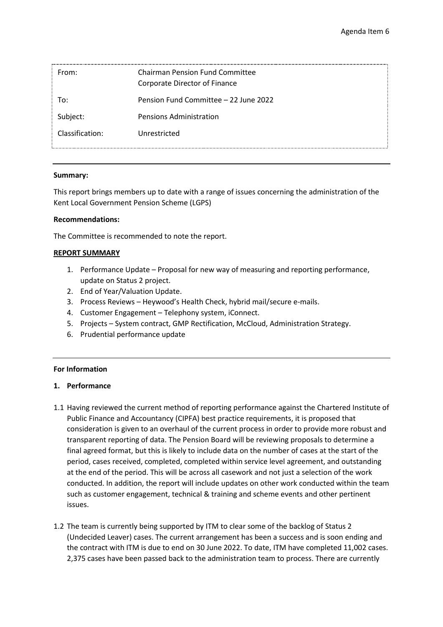| From:           | <b>Chairman Pension Fund Committee</b><br>Corporate Director of Finance |
|-----------------|-------------------------------------------------------------------------|
| To:             | Pension Fund Committee - 22 June 2022                                   |
| Subject:        | <b>Pensions Administration</b>                                          |
| Classification: | Unrestricted                                                            |

## **Summary:**

This report brings members up to date with a range of issues concerning the administration of the Kent Local Government Pension Scheme (LGPS)

## **Recommendations:**

The Committee is recommended to note the report.

## **REPORT SUMMARY**

- 1. Performance Update Proposal for new way of measuring and reporting performance, update on Status 2 project.
- 2. End of Year/Valuation Update.
- 3. Process Reviews Heywood's Health Check, hybrid mail/secure e-mails.
- 4. Customer Engagement Telephony system, iConnect.
- 5. Projects System contract, GMP Rectification, McCloud, Administration Strategy.
- 6. Prudential performance update

## **For Information**

## **1. Performance**

- 1.1 Having reviewed the current method of reporting performance against the Chartered Institute of Public Finance and Accountancy (CIPFA) best practice requirements, it is proposed that consideration is given to an overhaul of the current process in order to provide more robust and transparent reporting of data. The Pension Board will be reviewing proposals to determine a final agreed format, but this is likely to include data on the number of cases at the start of the period, cases received, completed, completed within service level agreement, and outstanding at the end of the period. This will be across all casework and not just a selection of the work conducted. In addition, the report will include updates on other work conducted within the team such as customer engagement, technical & training and scheme events and other pertinent issues.
- 1.2 The team is currently being supported by ITM to clear some of the backlog of Status 2 (Undecided Leaver) cases. The current arrangement has been a success and is soon ending and the contract with ITM is due to end on 30 June 2022. To date, ITM have completed 11,002 cases. 2,375 cases have been passed back to the administration team to process. There are currently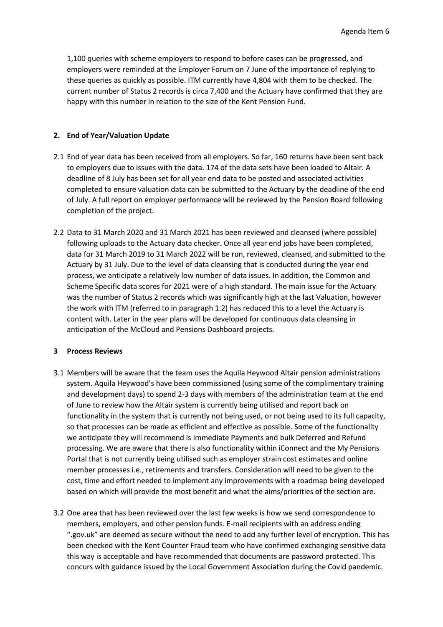1,100 queries with scheme employers to respond to before cases can be progressed, and employers were reminded at the Employer Forum on 7 June of the importance of replying to these queries as quickly as possible. ITM currently have 4,804 with them to be checked. The current number of Status 2 records is circa 7,400 and the Actuary have confirmed that they are happy with this number in relation to the size of the Kent Pension Fund.

# **2. End of Year/Valuation Update**

- 2.1 End of year data has been received from all employers. So far, 160 returns have been sent back to employers due to issues with the data. 174 of the data sets have been loaded to Altair. A deadline of 8 July has been set for all year end data to be posted and associated activities completed to ensure valuation data can be submitted to the Actuary by the deadline of the end of July. A full report on employer performance will be reviewed by the Pension Board following completion of the project.
- 2.2 Data to 31 March 2020 and 31 March 2021 has been reviewed and cleansed (where possible) following uploads to the Actuary data checker. Once all year end jobs have been completed, data for 31 March 2019 to 31 March 2022 will be run, reviewed, cleansed, and submitted to the Actuary by 31 July. Due to the level of data cleansing that is conducted during the year end process, we anticipate a relatively low number of data issues. In addition, the Common and Scheme Specific data scores for 2021 were of a high standard. The main issue for the Actuary was the number of Status 2 records which was significantly high at the last Valuation, however the work with ITM (referred to in paragraph 1.2) has reduced this to a level the Actuary is content with. Later in the year plans will be developed for continuous data cleansing in anticipation of the McCloud and Pensions Dashboard projects.

## **3 Process Reviews**

- 3.1 Members will be aware that the team uses the Aquila Heywood Altair pension administrations system. Aquila Heywood's have been commissioned (using some of the complimentary training and development days) to spend 2-3 days with members of the administration team at the end of June to review how the Altair system is currently being utilised and report back on functionality in the system that is currently not being used, or not being used to its full capacity, so that processes can be made as efficient and effective as possible. Some of the functionality we anticipate they will recommend is Immediate Payments and bulk Deferred and Refund processing. We are aware that there is also functionality within iConnect and the My Pensions Portal that is not currently being utilised such as employer strain cost estimates and online member processes i.e., retirements and transfers. Consideration will need to be given to the cost, time and effort needed to implement any improvements with a roadmap being developed based on which will provide the most benefit and what the aims/priorities of the section are.
- 3.2 One area that has been reviewed over the last few weeks is how we send correspondence to members, employers, and other pension funds. E-mail recipients with an address ending ".gov.uk" are deemed as secure without the need to add any further level of encryption. This has been checked with the Kent Counter Fraud team who have confirmed exchanging sensitive data this way is acceptable and have recommended that documents are password protected. This concurs with guidance issued by the Local Government Association during the Covid pandemic.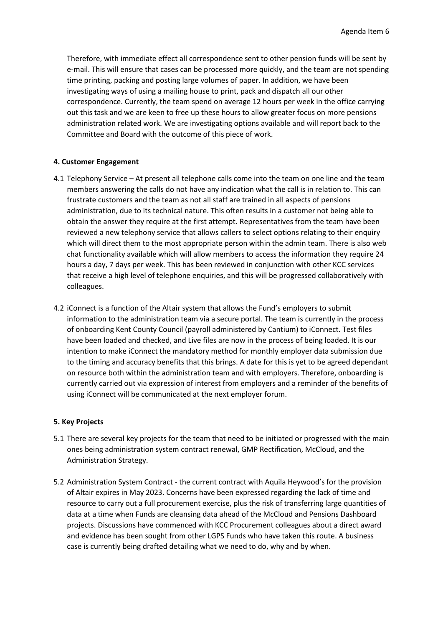Therefore, with immediate effect all correspondence sent to other pension funds will be sent by e-mail. This will ensure that cases can be processed more quickly, and the team are not spending time printing, packing and posting large volumes of paper. In addition, we have been investigating ways of using a mailing house to print, pack and dispatch all our other correspondence. Currently, the team spend on average 12 hours per week in the office carrying out this task and we are keen to free up these hours to allow greater focus on more pensions administration related work. We are investigating options available and will report back to the Committee and Board with the outcome of this piece of work.

## **4. Customer Engagement**

- 4.1 Telephony Service At present all telephone calls come into the team on one line and the team members answering the calls do not have any indication what the call is in relation to. This can frustrate customers and the team as not all staff are trained in all aspects of pensions administration, due to its technical nature. This often results in a customer not being able to obtain the answer they require at the first attempt. Representatives from the team have been reviewed a new telephony service that allows callers to select options relating to their enquiry which will direct them to the most appropriate person within the admin team. There is also web chat functionality available which will allow members to access the information they require 24 hours a day, 7 days per week. This has been reviewed in conjunction with other KCC services that receive a high level of telephone enquiries, and this will be progressed collaboratively with colleagues.
- 4.2 iConnect is a function of the Altair system that allows the Fund's employers to submit information to the administration team via a secure portal. The team is currently in the process of onboarding Kent County Council (payroll administered by Cantium) to iConnect. Test files have been loaded and checked, and Live files are now in the process of being loaded. It is our intention to make iConnect the mandatory method for monthly employer data submission due to the timing and accuracy benefits that this brings. A date for this is yet to be agreed dependant on resource both within the administration team and with employers. Therefore, onboarding is currently carried out via expression of interest from employers and a reminder of the benefits of using iConnect will be communicated at the next employer forum.

#### **5. Key Projects**

- 5.1 There are several key projects for the team that need to be initiated or progressed with the main ones being administration system contract renewal, GMP Rectification, McCloud, and the Administration Strategy.
- 5.2 Administration System Contract the current contract with Aquila Heywood's for the provision of Altair expires in May 2023. Concerns have been expressed regarding the lack of time and resource to carry out a full procurement exercise, plus the risk of transferring large quantities of data at a time when Funds are cleansing data ahead of the McCloud and Pensions Dashboard projects. Discussions have commenced with KCC Procurement colleagues about a direct award and evidence has been sought from other LGPS Funds who have taken this route. A business case is currently being drafted detailing what we need to do, why and by when.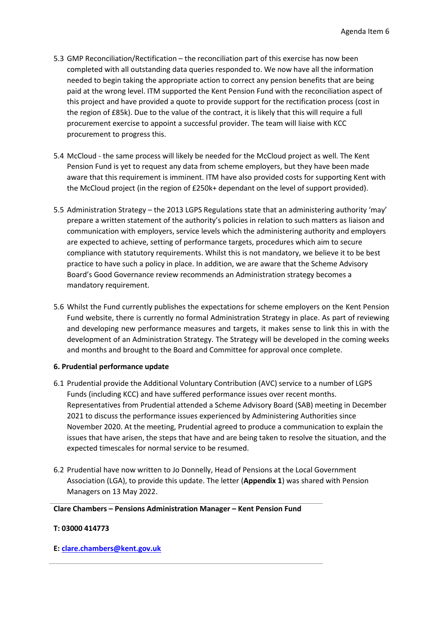- 5.3 GMP Reconciliation/Rectification the reconciliation part of this exercise has now been completed with all outstanding data queries responded to. We now have all the information needed to begin taking the appropriate action to correct any pension benefits that are being paid at the wrong level. ITM supported the Kent Pension Fund with the reconciliation aspect of this project and have provided a quote to provide support for the rectification process (cost in the region of £85k). Due to the value of the contract, it is likely that this will require a full procurement exercise to appoint a successful provider. The team will liaise with KCC procurement to progress this.
- 5.4 McCloud the same process will likely be needed for the McCloud project as well. The Kent Pension Fund is yet to request any data from scheme employers, but they have been made aware that this requirement is imminent. ITM have also provided costs for supporting Kent with the McCloud project (in the region of £250k+ dependant on the level of support provided).
- 5.5 Administration Strategy the 2013 LGPS Regulations state that an administering authority 'may' prepare a written statement of the authority's policies in relation to such matters as liaison and communication with employers, service levels which the administering authority and employers are expected to achieve, setting of performance targets, procedures which aim to secure compliance with statutory requirements. Whilst this is not mandatory, we believe it to be best practice to have such a policy in place. In addition, we are aware that the Scheme Advisory Board's Good Governance review recommends an Administration strategy becomes a mandatory requirement.
- 5.6 Whilst the Fund currently publishes the expectations for scheme employers on the Kent Pension Fund website, there is currently no formal Administration Strategy in place. As part of reviewing and developing new performance measures and targets, it makes sense to link this in with the development of an Administration Strategy. The Strategy will be developed in the coming weeks and months and brought to the Board and Committee for approval once complete.

## **6. Prudential performance update**

- 6.1 Prudential provide the Additional Voluntary Contribution (AVC) service to a number of LGPS Funds (including KCC) and have suffered performance issues over recent months. Representatives from Prudential attended a Scheme Advisory Board (SAB) meeting in December 2021 to discuss the performance issues experienced by Administering Authorities since November 2020. At the meeting, Prudential agreed to produce a communication to explain the issues that have arisen, the steps that have and are being taken to resolve the situation, and the expected timescales for normal service to be resumed.
- 6.2 Prudential have now written to Jo Donnelly, Head of Pensions at the Local Government Association (LGA), to provide this update. The letter (**Appendix 1**) was shared with Pension Managers on 13 May 2022.

**Clare Chambers – Pensions Administration Manager – Kent Pension Fund**

## **T: 03000 414773**

## **E: [clare.chambers@kent.gov.uk](mailto:clare.chambers@kent.gov.uk)**